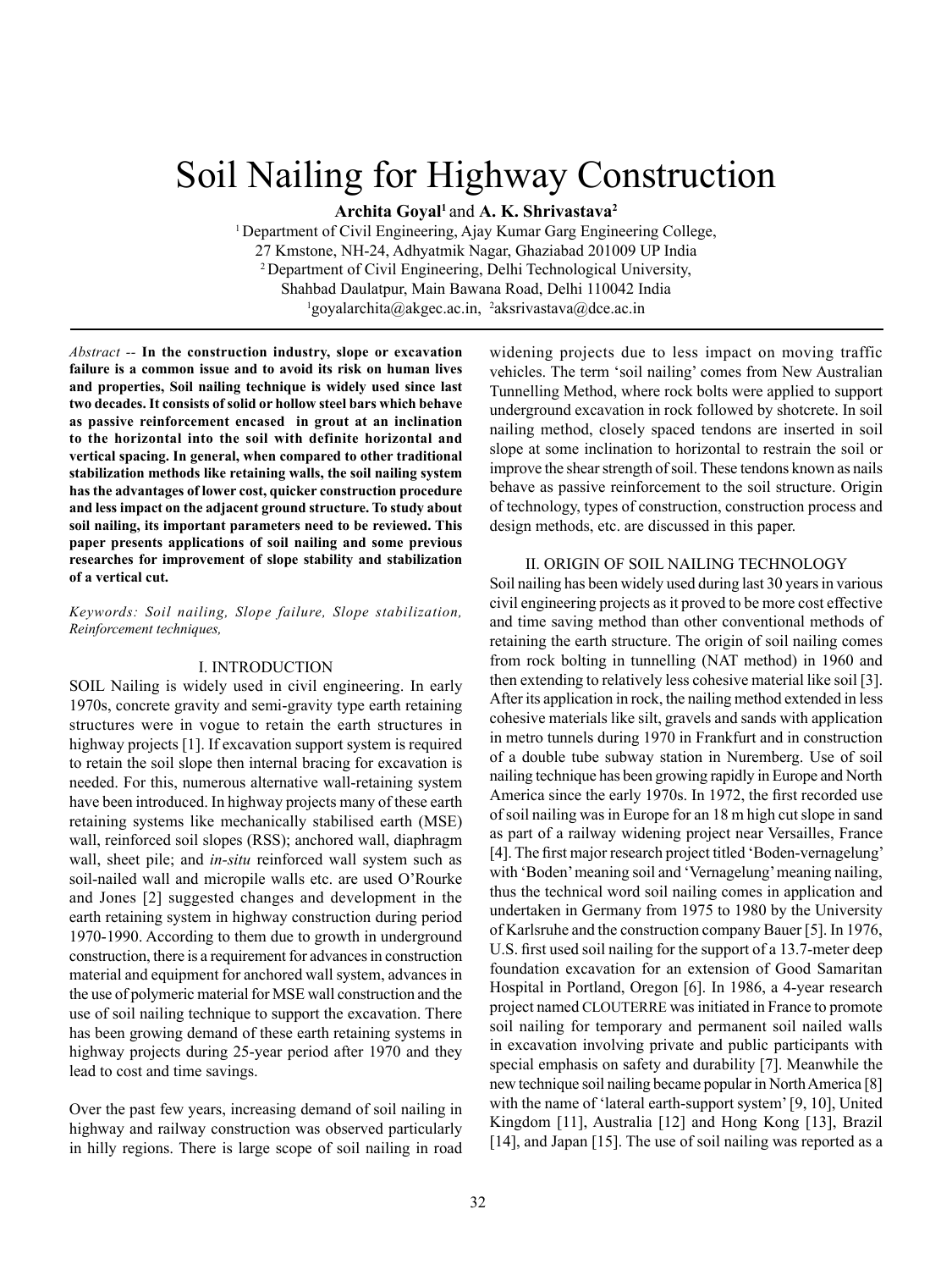# Soil Nailing for Highway Construction

**Archita Goyal1** and **A. K. Shrivastava2**

1 Department of Civil Engineering, Ajay Kumar Garg Engineering College, 27 Kmstone, NH-24, Adhyatmik Nagar, Ghaziabad 201009 UP India 2 Department of Civil Engineering, Delhi Technological University, Shahbad Daulatpur, Main Bawana Road, Delhi 110042 India  $^{1}$ goyalarchita@akgec.ac.in,  $^{2}$ aksrivastava@dce.ac.in

*Abstract --* **In the construction industry, slope or excavation failure is a common issue and to avoid its risk on human lives and properties, Soil nailing technique is widely used since last two decades. It consists of solid or hollow steel bars which behave as passive reinforcement encased in grout at an inclination to the horizontal into the soil with definite horizontal and vertical spacing. In general, when compared to other traditional stabilization methods like retaining walls, the soil nailing system has the advantages of lower cost, quicker construction procedure and less impact on the adjacent ground structure. To study about soil nailing, its important parameters need to be reviewed. This paper presents applications of soil nailing and some previous researches for improvement of slope stability and stabilization of a vertical cut.**

#### *Keywords: Soil nailing, Slope failure, Slope stabilization, Reinforcement techniques,*

#### I. INTRODUCTION

SOIL Nailing is widely used in civil engineering. In early 1970s, concrete gravity and semi-gravity type earth retaining structures were in vogue to retain the earth structures in highway projects [1]. If excavation support system is required to retain the soil slope then internal bracing for excavation is needed. For this, numerous alternative wall-retaining system have been introduced. In highway projects many of these earth retaining systems like mechanically stabilised earth (MSE) wall, reinforced soil slopes (RSS); anchored wall, diaphragm wall, sheet pile; and *in-situ* reinforced wall system such as soil-nailed wall and micropile walls etc. are used O'Rourke and Jones [2] suggested changes and development in the earth retaining system in highway construction during period 1970-1990. According to them due to growth in underground construction, there is a requirement for advances in construction material and equipment for anchored wall system, advances in the use of polymeric material for MSE wall construction and the use of soil nailing technique to support the excavation. There has been growing demand of these earth retaining systems in highway projects during 25-year period after 1970 and they lead to cost and time savings.

Over the past few years, increasing demand of soil nailing in highway and railway construction was observed particularly in hilly regions. There is large scope of soil nailing in road widening projects due to less impact on moving traffic vehicles. The term 'soil nailing' comes from New Australian Tunnelling Method, where rock bolts were applied to support underground excavation in rock followed by shotcrete. In soil nailing method, closely spaced tendons are inserted in soil slope at some inclination to horizontal to restrain the soil or improve the shear strength of soil. These tendons known as nails behave as passive reinforcement to the soil structure. Origin of technology, types of construction, construction process and design methods, etc. are discussed in this paper.

## II. ORIGIN OF SOIL NAILING TECHNOLOGY

Soil nailing has been widely used during last 30 years in various civil engineering projects as it proved to be more cost effective and time saving method than other conventional methods of retaining the earth structure. The origin of soil nailing comes from rock bolting in tunnelling (NAT method) in 1960 and then extending to relatively less cohesive material like soil [3]. After its application in rock, the nailing method extended in less cohesive materials like silt, gravels and sands with application in metro tunnels during 1970 in Frankfurt and in construction of a double tube subway station in Nuremberg. Use of soil nailing technique has been growing rapidly in Europe and North America since the early 1970s. In 1972, the first recorded use of soil nailing was in Europe for an 18 m high cut slope in sand as part of a railway widening project near Versailles, France [4]. The first major research project titled 'Boden-vernagelung' with 'Boden' meaning soil and 'Vernagelung' meaning nailing, thus the technical word soil nailing comes in application and undertaken in Germany from 1975 to 1980 by the University of Karlsruhe and the construction company Bauer [5]. In 1976, U.S. first used soil nailing for the support of a 13.7-meter deep foundation excavation for an extension of Good Samaritan Hospital in Portland, Oregon [6]. In 1986, a 4-year research project named CLOUTERRE was initiated in France to promote soil nailing for temporary and permanent soil nailed walls in excavation involving private and public participants with special emphasis on safety and durability [7]. Meanwhile the new technique soil nailing became popular in North America [8] with the name of 'lateral earth-support system' [9, 10], United Kingdom [11], Australia [12] and Hong Kong [13], Brazil [14], and Japan [15]. The use of soil nailing was reported as a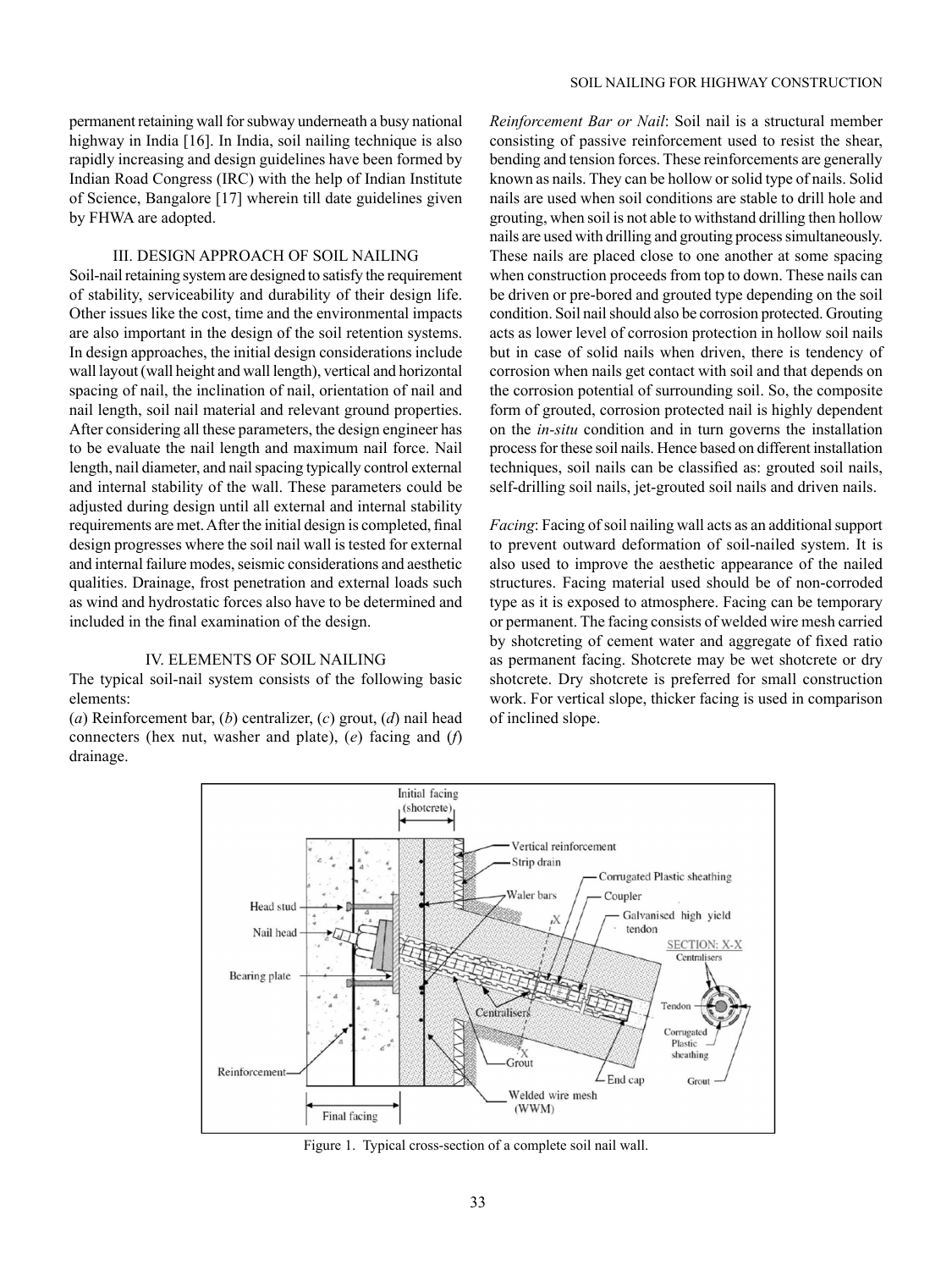## III. DESIGN APPROACH OF SOIL NAILING

Soil-nail retaining system are designed to satisfy the requirement of stability, serviceability and durability of their design life. Other issues like the cost, time and the environmental impacts are also important in the design of the soil retention systems. In design approaches, the initial design considerations include wall layout (wall height and wall length), vertical and horizontal spacing of nail, the inclination of nail, orientation of nail and nail length, soil nail material and relevant ground properties. After considering all these parameters, the design engineer has to be evaluate the nail length and maximum nail force. Nail length, nail diameter, and nail spacing typically control external and internal stability of the wall. These parameters could be adjusted during design until all external and internal stability requirements are met. After the initial design is completed, final design progresses where the soil nail wall is tested for external and internal failure modes, seismic considerations and aesthetic qualities. Drainage, frost penetration and external loads such as wind and hydrostatic forces also have to be determined and included in the final examination of the design.

## IV. ELEMENTS OF SOIL NAILING

The typical soil-nail system consists of the following basic elements:

(*a*) Reinforcement bar, (*b*) centralizer, (*c*) grout, (*d*) nail head connecters (hex nut, washer and plate), (*e*) facing and (*f*) drainage.

*Reinforcement Bar or Nail*: Soil nail is a structural member consisting of passive reinforcement used to resist the shear, bending and tension forces. These reinforcements are generally known as nails. They can be hollow or solid type of nails. Solid nails are used when soil conditions are stable to drill hole and grouting, when soil is not able to withstand drilling then hollow nails are used with drilling and grouting process simultaneously. These nails are placed close to one another at some spacing when construction proceeds from top to down. These nails can be driven or pre-bored and grouted type depending on the soil condition. Soil nail should also be corrosion protected. Grouting acts as lower level of corrosion protection in hollow soil nails but in case of solid nails when driven, there is tendency of corrosion when nails get contact with soil and that depends on the corrosion potential of surrounding soil. So, the composite form of grouted, corrosion protected nail is highly dependent on the *in-situ* condition and in turn governs the installation process for these soil nails. Hence based on different installation techniques, soil nails can be classified as: grouted soil nails, self-drilling soil nails, jet-grouted soil nails and driven nails.

*Facing*: Facing of soil nailing wall acts as an additional support to prevent outward deformation of soil-nailed system. It is also used to improve the aesthetic appearance of the nailed structures. Facing material used should be of non-corroded type as it is exposed to atmosphere. Facing can be temporary or permanent. The facing consists of welded wire mesh carried by shotcreting of cement water and aggregate of fixed ratio as permanent facing. Shotcrete may be wet shotcrete or dry shotcrete. Dry shotcrete is preferred for small construction work. For vertical slope, thicker facing is used in comparison of inclined slope.



Figure 1. Typical cross-section of a complete soil nail wall.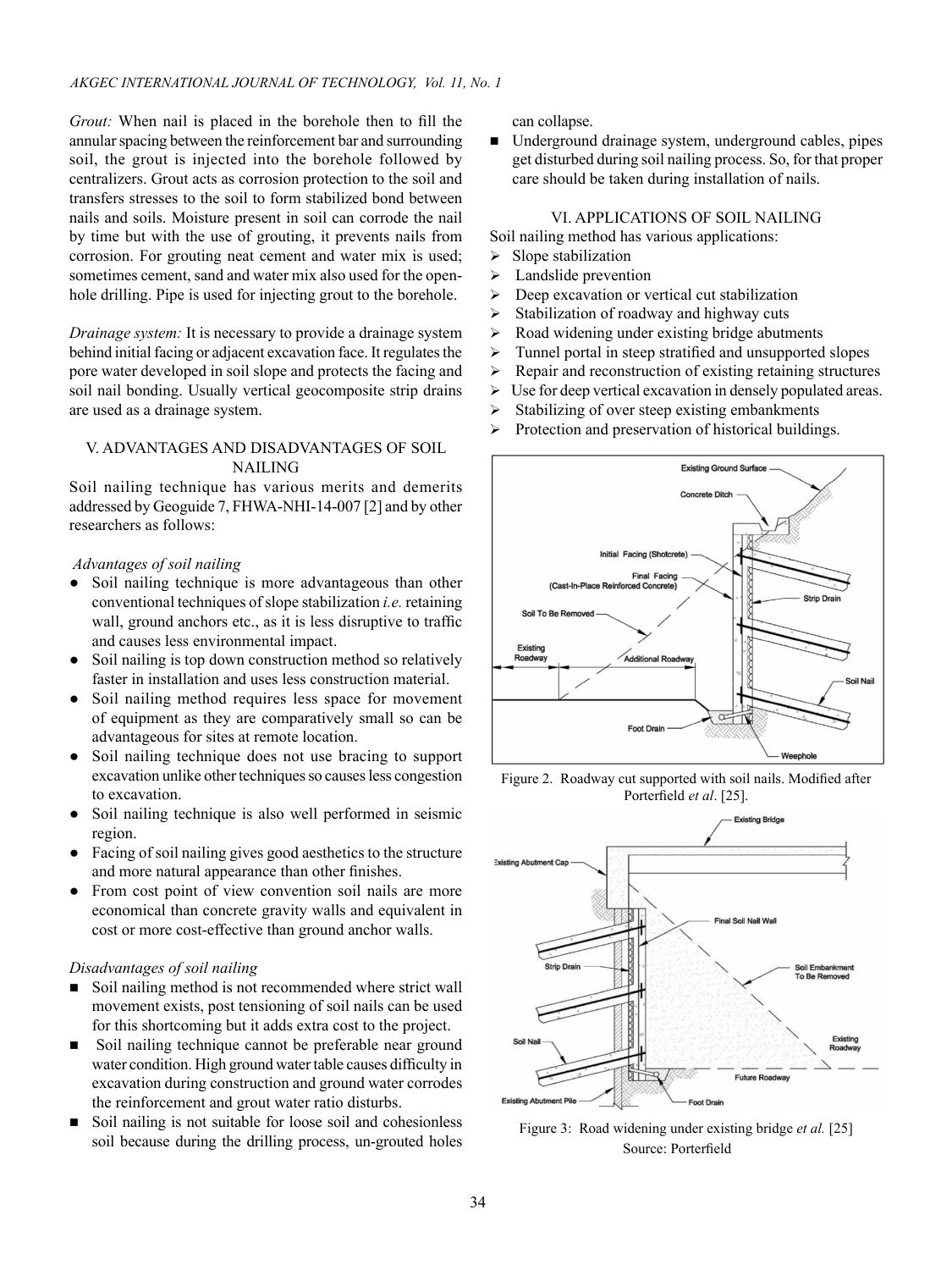*Grout:* When nail is placed in the borehole then to fill the annular spacing between the reinforcement bar and surrounding soil, the grout is injected into the borehole followed by centralizers. Grout acts as corrosion protection to the soil and transfers stresses to the soil to form stabilized bond between nails and soils. Moisture present in soil can corrode the nail by time but with the use of grouting, it prevents nails from corrosion. For grouting neat cement and water mix is used; sometimes cement, sand and water mix also used for the openhole drilling. Pipe is used for injecting grout to the borehole.

*Drainage system:* It is necessary to provide a drainage system behind initial facing or adjacent excavation face. It regulates the pore water developed in soil slope and protects the facing and soil nail bonding. Usually vertical geocomposite strip drains are used as a drainage system.

# V. ADVANTAGES AND DISADVANTAGES OF SOIL NAILING

Soil nailing technique has various merits and demerits addressed by Geoguide 7, FHWA-NHI-14-007 [2] and by other researchers as follows:

## *Advantages of soil nailing*

- Soil nailing technique is more advantageous than other conventional techniques of slope stabilization *i.e.* retaining wall, ground anchors etc., as it is less disruptive to traffic and causes less environmental impact.
- Soil nailing is top down construction method so relatively faster in installation and uses less construction material.
- Soil nailing method requires less space for movement of equipment as they are comparatively small so can be advantageous for sites at remote location.
- Soil nailing technique does not use bracing to support excavation unlike other techniques so causes less congestion to excavation.
- Soil nailing technique is also well performed in seismic region.
- Facing of soil nailing gives good aesthetics to the structure and more natural appearance than other finishes.
- From cost point of view convention soil nails are more economical than concrete gravity walls and equivalent in cost or more cost-effective than ground anchor walls.

### *Disadvantages of soil nailing*

- Soil nailing method is not recommended where strict wall movement exists, post tensioning of soil nails can be used for this shortcoming but it adds extra cost to the project.
- Soil nailing technique cannot be preferable near ground water condition. High ground water table causes difficulty in excavation during construction and ground water corrodes the reinforcement and grout water ratio disturbs.
- Soil nailing is not suitable for loose soil and cohesionless soil because during the drilling process, un-grouted holes

can collapse.

■ Underground drainage system, underground cables, pipes get disturbed during soil nailing process. So, for that proper care should be taken during installation of nails.

## VI. APPLICATIONS OF SOIL NAILING

Soil nailing method has various applications:

- $\triangleright$  Slope stabilization
- $\geq$  Landslide prevention
- $\triangleright$  Deep excavation or vertical cut stabilization
- $\triangleright$  Stabilization of roadway and highway cuts
- $\triangleright$  Road widening under existing bridge abutments
- > Tunnel portal in steep stratified and unsupported slopes
- $\triangleright$  Repair and reconstruction of existing retaining structures
- $\triangleright$  Use for deep vertical excavation in densely populated areas.
- $\triangleright$  Stabilizing of over steep existing embankments
- $\triangleright$  Protection and preservation of historical buildings.



Figure 2. Roadway cut supported with soil nails. Modified after Porterfield *et al*. [25].



Figure 3: Road widening under existing bridge *et al.* [25] Source: Porterfield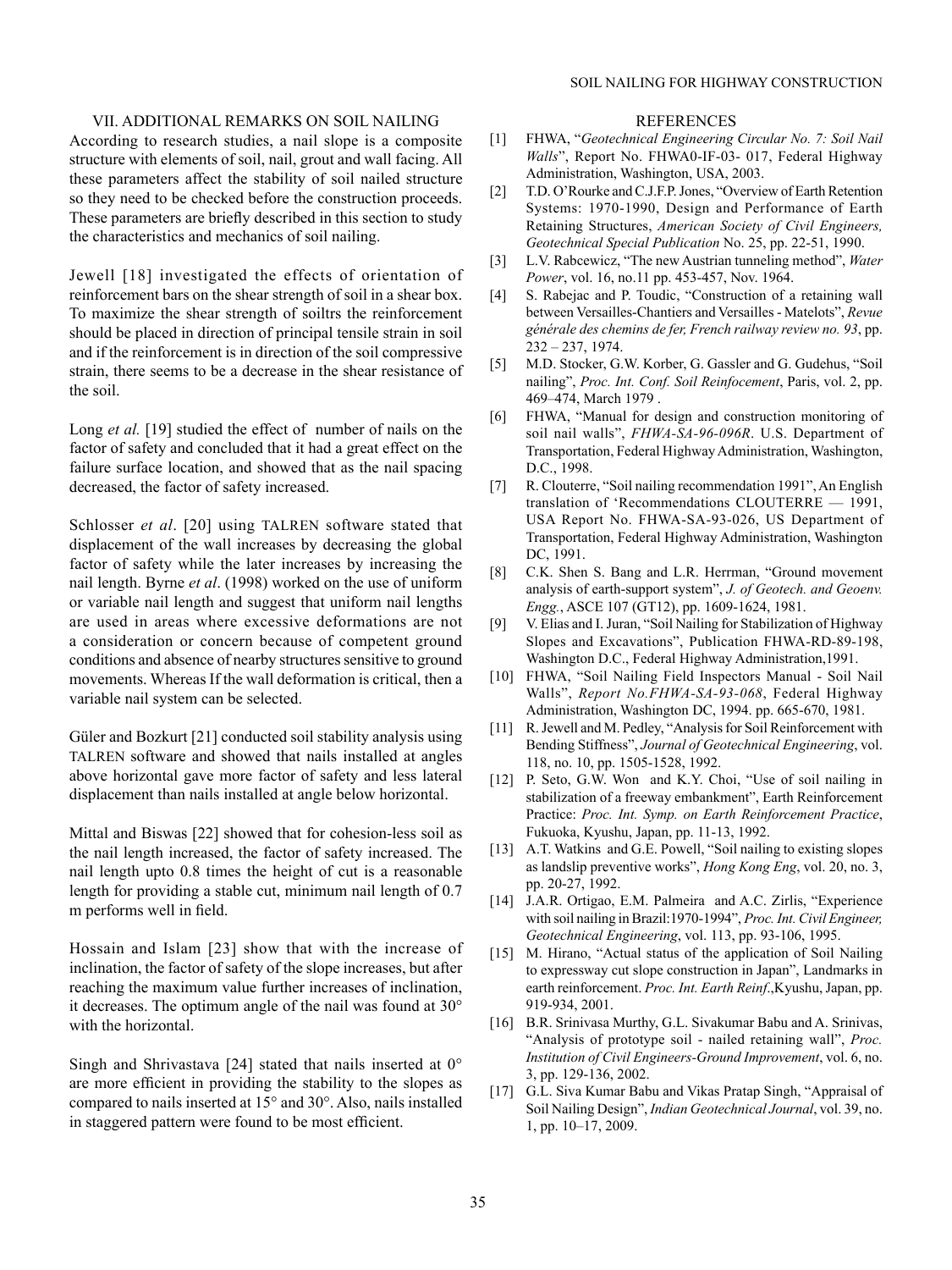## VII. ADDITIONAL REMARKS ON SOIL NAILING

According to research studies, a nail slope is a composite structure with elements of soil, nail, grout and wall facing. All these parameters affect the stability of soil nailed structure so they need to be checked before the construction proceeds. These parameters are briefly described in this section to study the characteristics and mechanics of soil nailing.

Jewell [18] investigated the effects of orientation of reinforcement bars on the shear strength of soil in a shear box. To maximize the shear strength of soiltrs the reinforcement should be placed in direction of principal tensile strain in soil and if the reinforcement is in direction of the soil compressive strain, there seems to be a decrease in the shear resistance of the soil.

Long *et al.* [19] studied the effect of number of nails on the factor of safety and concluded that it had a great effect on the failure surface location, and showed that as the nail spacing decreased, the factor of safety increased.

Schlosser *et al*. [20] using TALREN software stated that displacement of the wall increases by decreasing the global factor of safety while the later increases by increasing the nail length. Byrne *et al*. (1998) worked on the use of uniform or variable nail length and suggest that uniform nail lengths are used in areas where excessive deformations are not a consideration or concern because of competent ground conditions and absence of nearby structures sensitive to ground movements. Whereas If the wall deformation is critical, then a variable nail system can be selected.

Güler and Bozkurt [21] conducted soil stability analysis using TALREN software and showed that nails installed at angles above horizontal gave more factor of safety and less lateral displacement than nails installed at angle below horizontal.

Mittal and Biswas [22] showed that for cohesion-less soil as the nail length increased, the factor of safety increased. The nail length upto 0.8 times the height of cut is a reasonable length for providing a stable cut, minimum nail length of 0.7 m performs well in field.

Hossain and Islam [23] show that with the increase of inclination, the factor of safety of the slope increases, but after reaching the maximum value further increases of inclination, it decreases. The optimum angle of the nail was found at 30° with the horizontal.

Singh and Shrivastava [24] stated that nails inserted at 0° are more efficient in providing the stability to the slopes as compared to nails inserted at 15° and 30°. Also, nails installed in staggered pattern were found to be most efficient.

#### REFERENCES

- [1] FHWA, "*Geotechnical Engineering Circular No. 7: Soil Nail Walls*", Report No. FHWA0-IF-03- 017, Federal Highway Administration, Washington, USA, 2003.
- [2] T.D. O'Rourke and C.J.F.P. Jones, "Overview of Earth Retention Systems: 1970-1990, Design and Performance of Earth Retaining Structures, *American Society of Civil Engineers, Geotechnical Special Publication* No. 25, pp. 22-51, 1990.
- [3] L.V. Rabcewicz, "The new Austrian tunneling method", *Water Power*, vol. 16, no.11 pp. 453-457, Nov. 1964.
- [4] S. Rabejac and P. Toudic, "Construction of a retaining wall between Versailles-Chantiers and Versailles - Matelots", *Revue générale des chemins de fer, French railway review no. 93*, pp. 232 – 237, 1974.
- [5] M.D. Stocker, G.W. Korber, G. Gassler and G. Gudehus, "Soil nailing", *Proc. Int. Conf. Soil Reinfocement*, Paris, vol. 2, pp. 469–474, March 1979 .
- [6] FHWA, "Manual for design and construction monitoring of soil nail walls", *FHWA-SA-96-096R*. U.S. Department of Transportation, Federal Highway Administration, Washington, D.C., 1998.
- [7] R. Clouterre, "Soil nailing recommendation 1991", An English translation of 'Recommendations CLOUTERRE — 1991, USA Report No. FHWA-SA-93-026, US Department of Transportation, Federal Highway Administration, Washington DC, 1991.
- [8] C.K. Shen S. Bang and L.R. Herrman, "Ground movement analysis of earth-support system", *J. of Geotech. and Geoenv. Engg.*, ASCE 107 (GT12), pp. 1609-1624, 1981.
- [9] V. Elias and I. Juran, "Soil Nailing for Stabilization of Highway Slopes and Excavations", Publication FHWA-RD-89-198, Washington D.C., Federal Highway Administration,1991.
- [10] FHWA, "Soil Nailing Field Inspectors Manual Soil Nail Walls", *Report No.FHWA-SA-93-068*, Federal Highway Administration, Washington DC, 1994. pp. 665-670, 1981.
- [11] R. Jewell and M. Pedley, "Analysis for Soil Reinforcement with Bending Stiffness", *Journal of Geotechnical Engineering*, vol. 118, no. 10, pp. 1505-1528, 1992.
- [12] P. Seto, G.W. Won and K.Y. Choi, "Use of soil nailing in stabilization of a freeway embankment", Earth Reinforcement Practice: *Proc. Int. Symp. on Earth Reinforcement Practice*, Fukuoka, Kyushu, Japan, pp. 11-13, 1992.
- [13] A.T. Watkins and G.E. Powell, "Soil nailing to existing slopes as landslip preventive works", *Hong Kong Eng*, vol. 20, no. 3, pp. 20-27, 1992.
- [14] J.A.R. Ortigao, E.M. Palmeira and A.C. Zirlis, "Experience with soil nailing in Brazil:1970-1994", *Proc. Int. Civil Engineer, Geotechnical Engineering*, vol. 113, pp. 93-106, 1995.
- [15] M. Hirano, "Actual status of the application of Soil Nailing to expressway cut slope construction in Japan", Landmarks in earth reinforcement. *Proc. Int. Earth Reinf*.,Kyushu, Japan, pp. 919-934, 2001.
- [16] B.R. Srinivasa Murthy, G.L. Sivakumar Babu and A. Srinivas, "Analysis of prototype soil - nailed retaining wall", *Proc. Institution of Civil Engineers-Ground Improvement*, vol. 6, no. 3, pp. 129-136, 2002.
- [17] G.L. Siva Kumar Babu and Vikas Pratap Singh, "Appraisal of Soil Nailing Design", *Indian Geotechnical Journal*, vol. 39, no. 1, pp. 10–17, 2009.